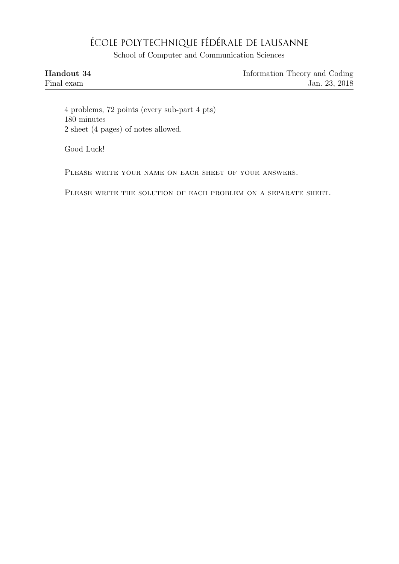## ÉCOLE POLYTECHNIQUE FÉDÉRALE DE LAUSANNE

School of Computer and Communication Sciences

| Handout 34 | Information Theory and Coding |
|------------|-------------------------------|
| Final exam | Jan. 23, 2018                 |

4 problems, 72 points (every sub-part 4 pts) 180 minutes 2 sheet (4 pages) of notes allowed.

Good Luck!

PLEASE WRITE YOUR NAME ON EACH SHEET OF YOUR ANSWERS.

PLEASE WRITE THE SOLUTION OF EACH PROBLEM ON A SEPARATE SHEET.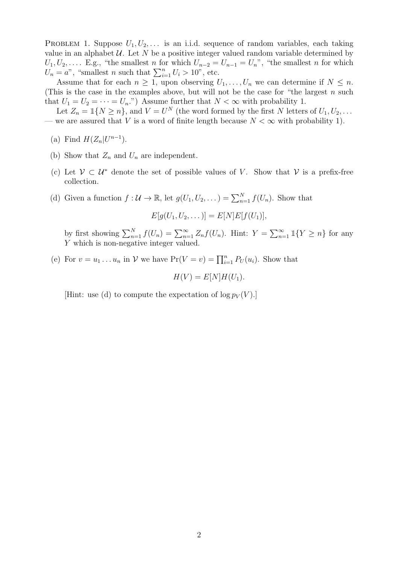PROBLEM 1. Suppose  $U_1, U_2, \ldots$  is an i.i.d. sequence of random variables, each taking value in an alphabet  $U$ . Let N be a positive integer valued random variable determined by  $U_1, U_2, \ldots$  E.g., "the smallest n for which  $U_{n-2} = U_{n-1} = U_n$ ", "the smallest n for which  $U_n = a$ ", "smallest *n* such that  $\sum_{i=1}^n U_i > 10$ ", etc.

Assume that for each  $n \geq 1$ , upon observing  $U_1, \ldots, U_n$  we can determine if  $N \leq n$ . (This is the case in the examples above, but will not be the case for "the largest  $n$  such that  $U_1 = U_2 = \cdots = U_n$ .") Assume further that  $N < \infty$  with probability 1.

Let  $Z_n = \mathbb{1}{N \geq n}$ , and  $V = U^N$  (the word formed by the first N letters of  $U_1, U_2, \ldots$ — we are assured that V is a word of finite length because  $N < \infty$  with probability 1).

- (a) Find  $H(Z_n|U^{n-1})$ .
- (b) Show that  $Z_n$  and  $U_n$  are independent.
- (c) Let  $V \subset U^*$  denote the set of possible values of V. Show that V is a prefix-free collection.
- (d) Given a function  $f: \mathcal{U} \to \mathbb{R}$ , let  $g(U_1, U_2, ...) = \sum_{n=1}^{N} f(U_n)$ . Show that

$$
E[g(U_1, U_2, \dots)] = E[N]E[f(U_1)],
$$

by first showing  $\sum_{n=1}^{N} f(U_n) = \sum_{n=1}^{\infty} Z_n f(U_n)$ . Hint:  $Y = \sum_{n=1}^{\infty} \mathbb{1}\{Y \geq n\}$  for any Y which is non-negative integer valued.

(e) For  $v = u_1 \dots u_n$  in V we have  $Pr(V = v) = \prod_{i=1}^n P_U(u_i)$ . Show that

 $H(V) = E[N]H(U_1).$ 

[Hint: use (d) to compute the expectation of  $\log p_V(V)$ .]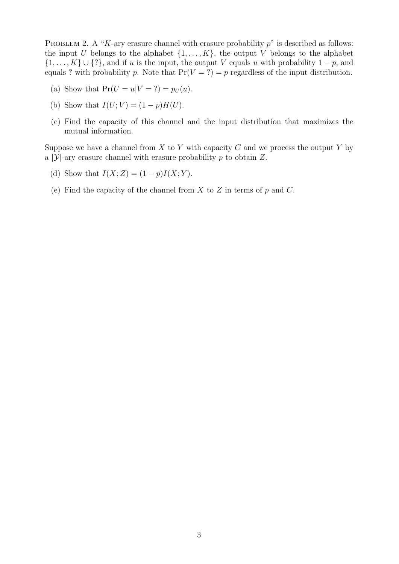PROBLEM 2. A "K-ary erasure channel with erasure probability  $p$ " is described as follows: the input U belongs to the alphabet  $\{1, \ldots, K\}$ , the output V belongs to the alphabet  $\{1, \ldots, K\} \cup \{?\}$ , and if u is the input, the output V equals u with probability  $1 - p$ , and equals ? with probability p. Note that  $Pr(V = ?) = p$  regardless of the input distribution.

- (a) Show that  $Pr(U = u|V = ?) = p_U(u)$ .
- (b) Show that  $I(U; V) = (1 p)H(U)$ .
- (c) Find the capacity of this channel and the input distribution that maximizes the mutual information.

Suppose we have a channel from X to Y with capacity C and we process the output Y by a |Y|-ary erasure channel with erasure probability p to obtain  $Z$ .

- (d) Show that  $I(X; Z) = (1 p)I(X; Y)$ .
- (e) Find the capacity of the channel from  $X$  to  $Z$  in terms of  $p$  and  $C$ .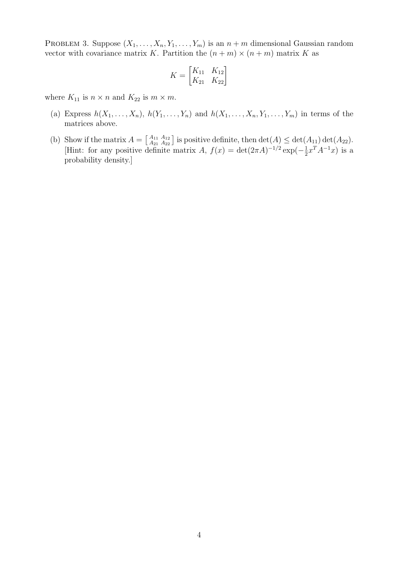PROBLEM 3. Suppose  $(X_1, \ldots, X_n, Y_1, \ldots, Y_m)$  is an  $n + m$  dimensional Gaussian random vector with covariance matrix K. Partition the  $(n + m) \times (n + m)$  matrix K as

$$
K = \begin{bmatrix} K_{11} & K_{12} \\ K_{21} & K_{22} \end{bmatrix}
$$

where  $K_{11}$  is  $n \times n$  and  $K_{22}$  is  $m \times m$ .

- (a) Express  $h(X_1, \ldots, X_n)$ ,  $h(Y_1, \ldots, Y_n)$  and  $h(X_1, \ldots, X_n, Y_1, \ldots, Y_m)$  in terms of the matrices above.
- (b) Show if the matrix  $A = \begin{bmatrix} A_{11} & A_{12} \\ A_{21} & A_{22} \end{bmatrix}$  $A_{11}^{A_{11}} A_{12}^{A_{12}}$  is positive definite, then  $\det(A) \leq \det(A_{11}) \det(A_{22})$ . [Hint: for any positive definite matrix A,  $f(x) = det(2\pi A)^{-1/2} exp(-\frac{1}{2})$  $\frac{1}{2}x^TA^{-1}x$ ) is a probability density.]